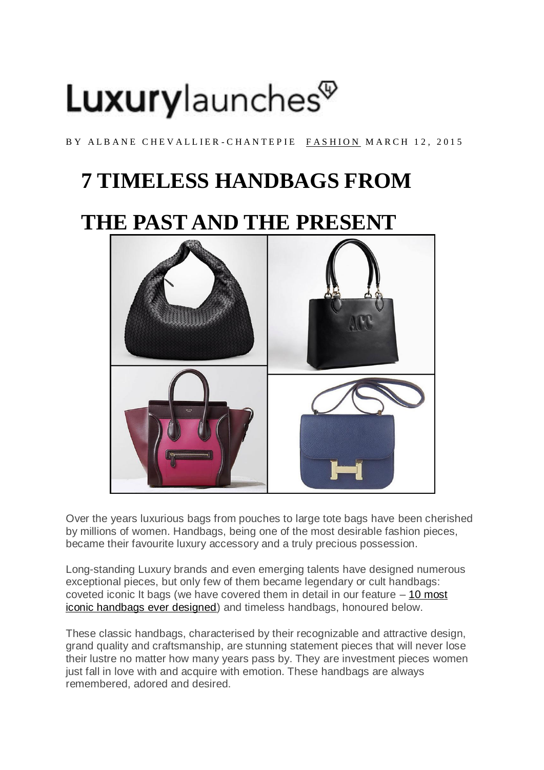# Luxurylaunches<sup>®</sup>

BY ALBANE CHEVALLIER-CHANTEPIE FASHION MARCH 12, 2015

## **7 TIMELESS HANDBAGS FROM**

### **THE PAST AND THE PRESENT**



Over the years luxurious bags from pouches to large tote bags have been cherished by millions of women. Handbags, being one of the most desirable fashion pieces, became their favourite luxury accessory and a truly precious possession.

Long-standing Luxury brands and even emerging talents have designed numerous exceptional pieces, but only few of them became legendary or cult handbags: coveted iconic It bags (we have covered them in detail in our feature  $-10$  most [iconic handbags ever designed\)](http://luxurylaunches.com/fashion/the-10-most-iconic-handbags-ever-designed.php) and timeless handbags, honoured below.

These classic handbags, characterised by their recognizable and attractive design, grand quality and craftsmanship, are stunning statement pieces that will never lose their lustre no matter how many years pass by. They are investment pieces women just fall in love with and acquire with emotion. These handbags are always remembered, adored and desired.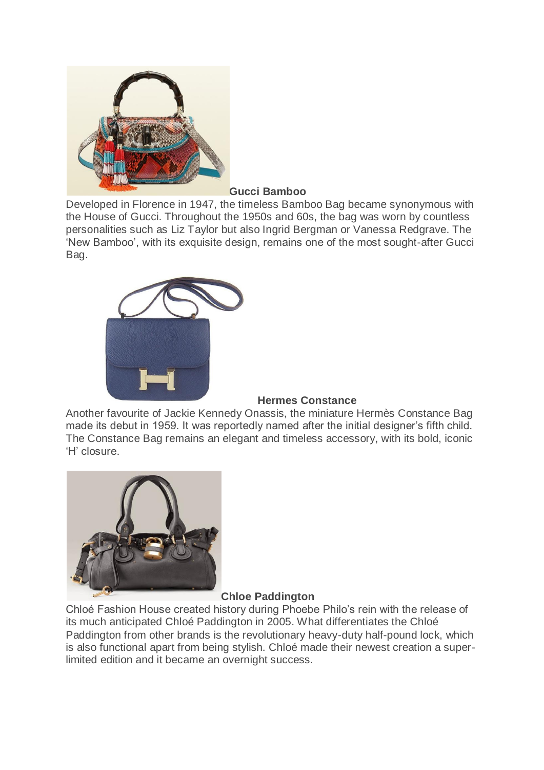

#### **Gucci Bamboo**

Developed in Florence in 1947, the timeless Bamboo Bag became synonymous with the House of Gucci. Throughout the 1950s and 60s, the bag was worn by countless personalities such as Liz Taylor but also Ingrid Bergman or Vanessa Redgrave. The 'New Bamboo', with its exquisite design, remains one of the most sought-after Gucci Bag.



#### **Hermes Constance**

Another favourite of Jackie Kennedy Onassis, the miniature Hermès Constance Bag made its debut in 1959. It was reportedly named after the initial designer's fifth child. The Constance Bag remains an elegant and timeless accessory, with its bold, iconic 'H' closure.



#### **Chloe Paddington**

Chloé Fashion House created history during Phoebe Philo's rein with the release of its much anticipated Chloé Paddington in 2005. What differentiates the Chloé Paddington from other brands is the revolutionary heavy-duty half-pound lock, which is also functional apart from being stylish. Chloé made their newest creation a superlimited edition and it became an overnight success.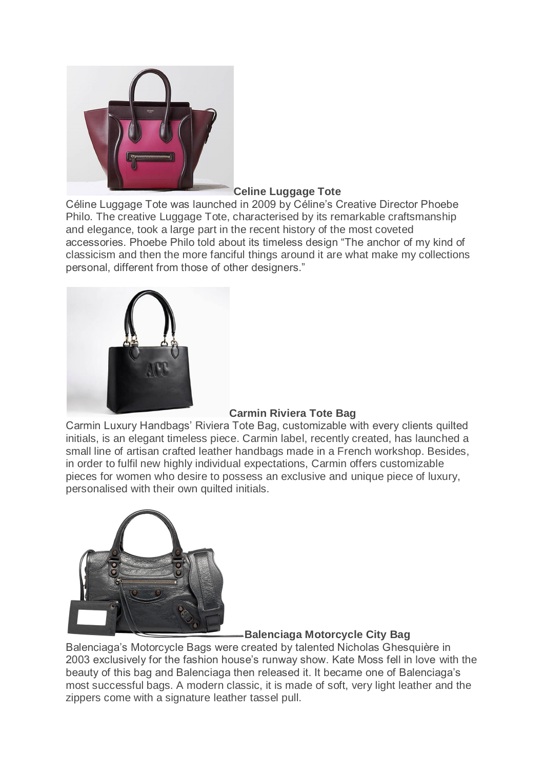

#### **Celine Luggage Tote**

Céline Luggage Tote was launched in 2009 by Céline's Creative Director Phoebe Philo. The creative Luggage Tote, characterised by its remarkable craftsmanship and elegance, took a large part in the recent history of the most coveted accessories. Phoebe Philo told about its timeless design "The anchor of my kind of classicism and then the more fanciful things around it are what make my collections personal, different from those of other designers."



#### **Carmin Riviera Tote Bag**

Carmin Luxury Handbags' Riviera Tote Bag, customizable with every clients quilted initials, is an elegant timeless piece. Carmin label, recently created, has launched a small line of artisan crafted leather handbags made in a French workshop. Besides, in order to fulfil new highly individual expectations, Carmin offers customizable pieces for women who desire to possess an exclusive and unique piece of luxury, personalised with their own quilted initials.



#### **Balenciaga Motorcycle City Bag**

Balenciaga's Motorcycle Bags were created by talented Nicholas Ghesquière in 2003 exclusively for the fashion house's runway show. Kate Moss fell in love with the beauty of this bag and Balenciaga then released it. It became one of Balenciaga's most successful bags. A modern classic, it is made of soft, very light leather and the zippers come with a signature leather tassel pull.